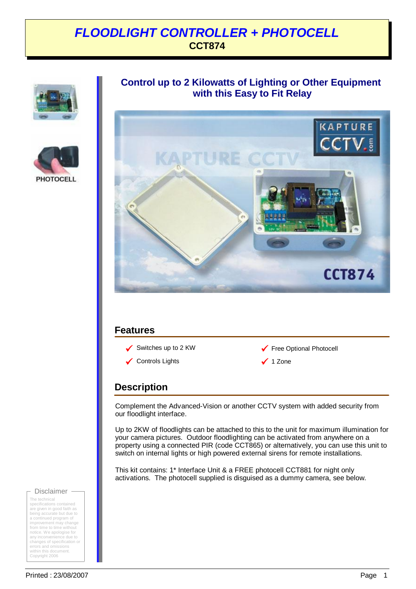## *FLOODLIGHT CONTROLLER + PHOTOCELL* **CCT874**





### **Control up to 2 Kilowatts of Lighting or Other Equipment with this Easy to Fit Relay**



### **Features**

 $\sqrt{ }$  Controls Lights 9 1 Zone



### **Description**

Complement the Advanced-Vision or another CCTV system with added security from our floodlight interface.

Up to 2KW of floodlights can be attached to this to the unit for maximum illumination for your camera pictures. Outdoor floodlighting can be activated from anywhere on a property using a connected PIR (code CCT865) or alternatively, you can use this unit to switch on internal lights or high powered external sirens for remote installations.

This kit contains: 1\* Interface Unit & a FREE photocell CCT881 for night only activations. The photocell supplied is disguised as a dummy camera, see below.

#### Disclaimer -

The technical specifications contained are given in good faith as being accurate but due to a continued program of improvement may change from time to time without notice. We apologise for any inconvenience due to changes of specification or errors and omissions within this document. Copyright 2006